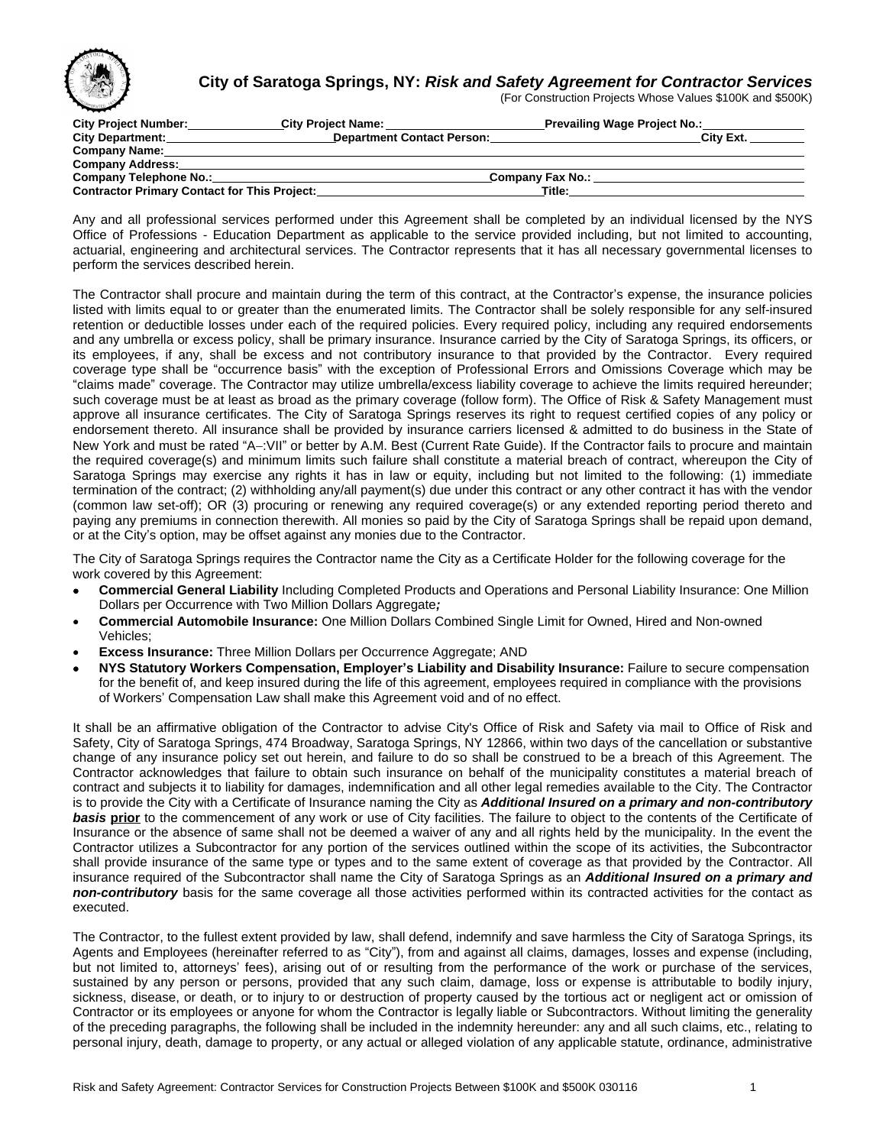

## **City of Saratoga Springs, NY:** *Risk and Safety Agreement for Contractor Services*

(For Construction Projects Whose Values \$100K and \$500K)

| City Project Number:                                | <b>City Project Name:</b>         |                  |        | <b>Prevailing Wage Project No.:</b> |           |
|-----------------------------------------------------|-----------------------------------|------------------|--------|-------------------------------------|-----------|
| <b>City Department:</b>                             | <b>Department Contact Person:</b> |                  |        |                                     | City Ext. |
| <b>Company Name:</b>                                |                                   |                  |        |                                     |           |
| <b>Company Address:</b>                             |                                   |                  |        |                                     |           |
| Company Telephone No.:                              |                                   | Company Fax No.: |        |                                     |           |
| <b>Contractor Primary Contact for This Project:</b> |                                   |                  | Title: |                                     |           |

Any and all professional services performed under this Agreement shall be completed by an individual licensed by the NYS Office of Professions - Education Department as applicable to the service provided including, but not limited to accounting, actuarial, engineering and architectural services. The Contractor represents that it has all necessary governmental licenses to perform the services described herein.

The Contractor shall procure and maintain during the term of this contract, at the Contractor's expense, the insurance policies listed with limits equal to or greater than the enumerated limits. The Contractor shall be solely responsible for any self-insured retention or deductible losses under each of the required policies. Every required policy, including any required endorsements and any umbrella or excess policy, shall be primary insurance. Insurance carried by the City of Saratoga Springs, its officers, or its employees, if any, shall be excess and not contributory insurance to that provided by the Contractor. Every required coverage type shall be "occurrence basis" with the exception of Professional Errors and Omissions Coverage which may be "claims made" coverage. The Contractor may utilize umbrella/excess liability coverage to achieve the limits required hereunder; such coverage must be at least as broad as the primary coverage (follow form). The Office of Risk & Safety Management must approve all insurance certificates. The City of Saratoga Springs reserves its right to request certified copies of any policy or endorsement thereto. All insurance shall be provided by insurance carriers licensed & admitted to do business in the State of New York and must be rated "A-:VII" or better by A.M. Best (Current Rate Guide). If the Contractor fails to procure and maintain the required coverage(s) and minimum limits such failure shall constitute a material breach of contract, whereupon the City of Saratoga Springs may exercise any rights it has in law or equity, including but not limited to the following: (1) immediate termination of the contract; (2) withholding any/all payment(s) due under this contract or any other contract it has with the vendor (common law set-off); OR (3) procuring or renewing any required coverage(s) or any extended reporting period thereto and paying any premiums in connection therewith. All monies so paid by the City of Saratoga Springs shall be repaid upon demand, or at the City's option, may be offset against any monies due to the Contractor.

The City of Saratoga Springs requires the Contractor name the City as a Certificate Holder for the following coverage for the work covered by this Agreement:

- **Commercial General Liability** Including Completed Products and Operations and Personal Liability Insurance: One Million Dollars per Occurrence with Two Million Dollars Aggregate*;*
- **Commercial Automobile Insurance:** One Million Dollars Combined Single Limit for Owned, Hired and Non-owned Vehicles;
- **Excess Insurance:** Three Million Dollars per Occurrence Aggregate; AND
- **NYS Statutory Workers Compensation, Employer's Liability and Disability Insurance:** Failure to secure compensation for the benefit of, and keep insured during the life of this agreement, employees required in compliance with the provisions of Workers' Compensation Law shall make this Agreement void and of no effect.

It shall be an affirmative obligation of the Contractor to advise City's Office of Risk and Safety via mail to Office of Risk and Safety, City of Saratoga Springs, 474 Broadway, Saratoga Springs, NY 12866, within two days of the cancellation or substantive change of any insurance policy set out herein, and failure to do so shall be construed to be a breach of this Agreement. The Contractor acknowledges that failure to obtain such insurance on behalf of the municipality constitutes a material breach of contract and subjects it to liability for damages, indemnification and all other legal remedies available to the City. The Contractor is to provide the City with a Certificate of Insurance naming the City as *Additional Insured on a primary and non-contributory basis* **prior** to the commencement of any work or use of City facilities. The failure to object to the contents of the Certificate of Insurance or the absence of same shall not be deemed a waiver of any and all rights held by the municipality. In the event the Contractor utilizes a Subcontractor for any portion of the services outlined within the scope of its activities, the Subcontractor shall provide insurance of the same type or types and to the same extent of coverage as that provided by the Contractor. All insurance required of the Subcontractor shall name the City of Saratoga Springs as an *Additional Insured on a primary and non-contributory* basis for the same coverage all those activities performed within its contracted activities for the contact as executed.

The Contractor, to the fullest extent provided by law, shall defend, indemnify and save harmless the City of Saratoga Springs, its Agents and Employees (hereinafter referred to as "City"), from and against all claims, damages, losses and expense (including, but not limited to, attorneys' fees), arising out of or resulting from the performance of the work or purchase of the services, sustained by any person or persons, provided that any such claim, damage, loss or expense is attributable to bodily injury, sickness, disease, or death, or to injury to or destruction of property caused by the tortious act or negligent act or omission of Contractor or its employees or anyone for whom the Contractor is legally liable or Subcontractors. Without limiting the generality of the preceding paragraphs, the following shall be included in the indemnity hereunder: any and all such claims, etc., relating to personal injury, death, damage to property, or any actual or alleged violation of any applicable statute, ordinance, administrative